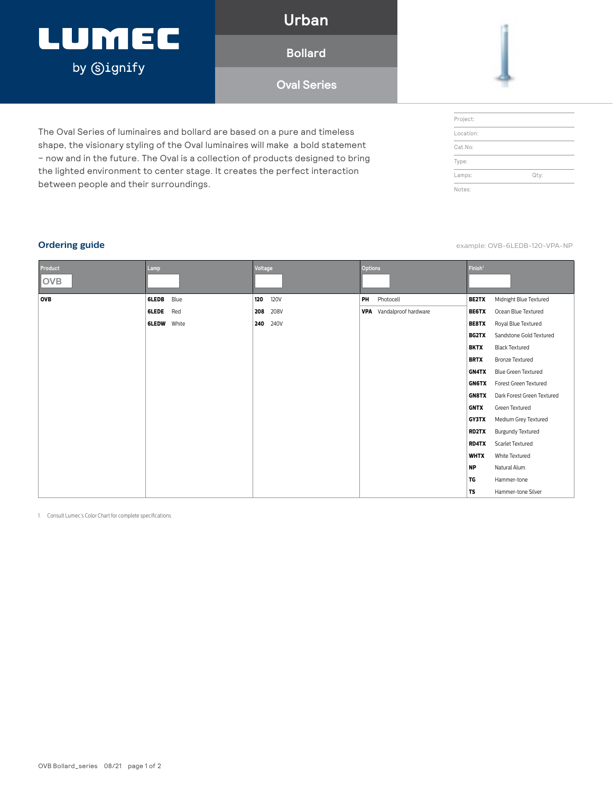# LUMEC by **Signify**

**Urban**

**Bollard**

**Oval Series**

The Oval Series of luminaires and bollard are based on a pure and timeless shape, the visionary styling of the Oval luminaires will make a bold statement – now and in the future. The Oval is a collection of products designed to bring the lighted environment to center stage. It creates the perfect interaction between people and their surroundings.

| Project:  |      |
|-----------|------|
| Location: |      |
| Cat.No:   |      |
| Type:     |      |
| Lamps:    | Qty: |
| Notes:    |      |

**Ordering guide** example: OVB-6LEDB-120-VPA-NP

| Product<br><b>OVB</b> | Lamp         |       | Voltage |             | Options |                                 | Finish <sup>1</sup> |                            |
|-----------------------|--------------|-------|---------|-------------|---------|---------------------------------|---------------------|----------------------------|
|                       |              |       |         |             |         |                                 |                     |                            |
| OVB                   | 6LEDB        | Blue  | 120     | <b>120V</b> |         | PH Photocell                    | <b>BE2TX</b>        | Midnight Blue Textured     |
|                       | 6LEDE        | Red   | 208     | 208V        |         | <b>VPA</b> Vandalproof hardware | <b>BE6TX</b>        | Ocean Blue Textured        |
|                       | <b>6LEDW</b> | White | 240     | 240V        |         |                                 | BE8TX               | Royal Blue Textured        |
|                       |              |       |         |             |         |                                 | <b>BG2TX</b>        | Sandstone Gold Textured    |
|                       |              |       |         |             |         |                                 | <b>BKTX</b>         | <b>Black Textured</b>      |
|                       |              |       |         |             |         |                                 | <b>BRTX</b>         | <b>Bronze Textured</b>     |
|                       |              |       |         |             |         |                                 | <b>GN4TX</b>        | <b>Blue Green Textured</b> |
|                       |              |       |         |             |         |                                 | <b>GN6TX</b>        | Forest Green Textured      |
|                       |              |       |         |             |         |                                 | <b>GN8TX</b>        | Dark Forest Green Textured |
|                       |              |       |         |             |         |                                 | <b>GNTX</b>         | Green Textured             |
|                       |              |       |         |             |         |                                 | <b>GY3TX</b>        | Medium Grey Textured       |
|                       |              |       |         |             |         |                                 | RD2TX               | <b>Burgundy Textured</b>   |
|                       |              |       |         |             |         |                                 | <b>RD4TX</b>        | Scarlet Textured           |
|                       |              |       |         |             |         |                                 | <b>WHTX</b>         | White Textured             |
|                       |              |       |         |             |         |                                 | <b>NP</b>           | Natural Alum.              |
|                       |              |       |         |             |         |                                 | TG                  | Hammer-tone                |
|                       |              |       |         |             |         |                                 | <b>TS</b>           | Hammer-tone Silver         |

1. Consult Lumec's Color Chart for complete specifications.